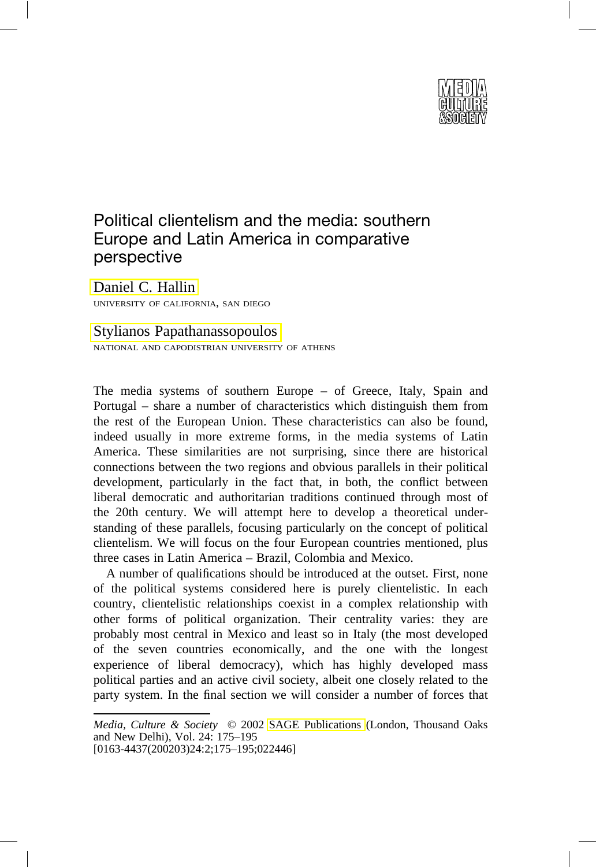

# Political clientelism and the media: southern Europe and Latin America in comparative perspective

[Daniel C. Hallin](#page-20-0) UNIVERSITY OF CALIFORNIA, SAN DIEGO

# [Stylianos Papathanassopoulos](#page-20-0)

NATIONAL AND CAPODISTRIAN UNIVERSITY OF ATHENS

The media systems of southern Europe – of Greece, Italy, Spain and Portugal – share a number of characteristics which distinguish them from the rest of the European Union. These characteristics can also be found, indeed usually in more extreme forms, in the media systems of Latin America. These similarities are not surprising, since there are historical connections between the two regions and obvious parallels in their political development, particularly in the fact that, in both, the conflict between liberal democratic and authoritarian traditions continued through most of the 20th century. We will attempt here to develop a theoretical understanding of these parallels, focusing particularly on the concept of political clientelism. We will focus on the four European countries mentioned, plus three cases in Latin America – Brazil, Colombia and Mexico.

A number of qualifications should be introduced at the outset. First, none of the political systems considered here is purely clientelistic. In each country, clientelistic relationships coexist in a complex relationship with other forms of political organization. Their centrality varies: they are probably most central in Mexico and least so in Italy (the most developed of the seven countries economically, and the one with the longest experience of liberal democracy), which has highly developed mass political parties and an active civil society, albeit one closely related to the party system. In the final section we will consider a number of forces that

*Media, Culture & Society* © 2002 [SAGE Publications](http:\\www.sagepublications.com) (London, Thousand Oaks and New Delhi), Vol. 24: 175–195 [0163-4437(200203)24:2;175–195;022446]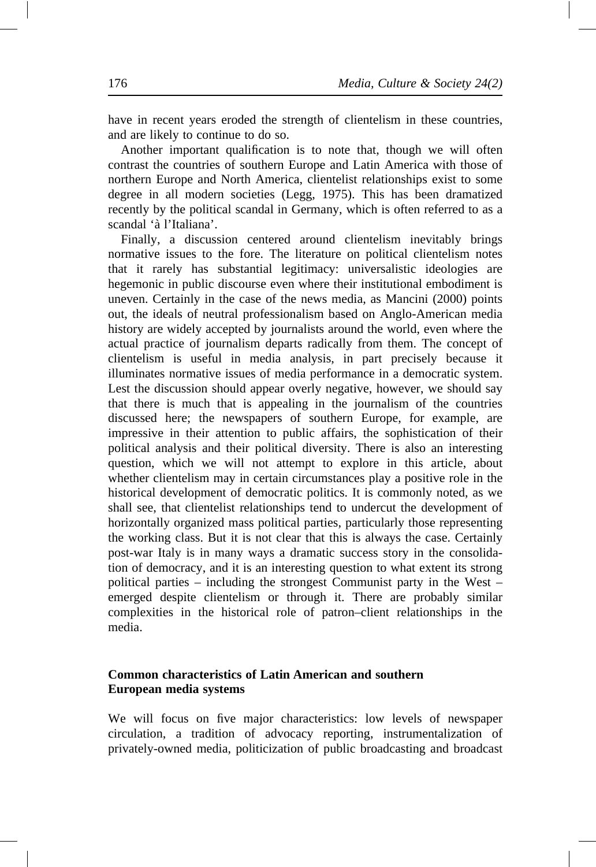have in recent years eroded the strength of clientelism in these countries, and are likely to continue to do so.

Another important qualification is to note that, though we will often contrast the countries of southern Europe and Latin America with those of northern Europe and North America, clientelist relationships exist to some degree in all modern societies (Legg, 1975). This has been dramatized recently by the political scandal in Germany, which is often referred to as a scandal 'à l'Italiana'.

Finally, a discussion centered around clientelism inevitably brings normative issues to the fore. The literature on political clientelism notes that it rarely has substantial legitimacy: universalistic ideologies are hegemonic in public discourse even where their institutional embodiment is uneven. Certainly in the case of the news media, as Mancini (2000) points out, the ideals of neutral professionalism based on Anglo-American media history are widely accepted by journalists around the world, even where the actual practice of journalism departs radically from them. The concept of clientelism is useful in media analysis, in part precisely because it illuminates normative issues of media performance in a democratic system. Lest the discussion should appear overly negative, however, we should say that there is much that is appealing in the journalism of the countries discussed here; the newspapers of southern Europe, for example, are impressive in their attention to public affairs, the sophistication of their political analysis and their political diversity. There is also an interesting question, which we will not attempt to explore in this article, about whether clientelism may in certain circumstances play a positive role in the historical development of democratic politics. It is commonly noted, as we shall see, that clientelist relationships tend to undercut the development of horizontally organized mass political parties, particularly those representing the working class. But it is not clear that this is always the case. Certainly post-war Italy is in many ways a dramatic success story in the consolidation of democracy, and it is an interesting question to what extent its strong political parties – including the strongest Communist party in the West – emerged despite clientelism or through it. There are probably similar complexities in the historical role of patron–client relationships in the media.

## **Common characteristics of Latin American and southern European media systems**

We will focus on five major characteristics: low levels of newspaper circulation, a tradition of advocacy reporting, instrumentalization of privately-owned media, politicization of public broadcasting and broadcast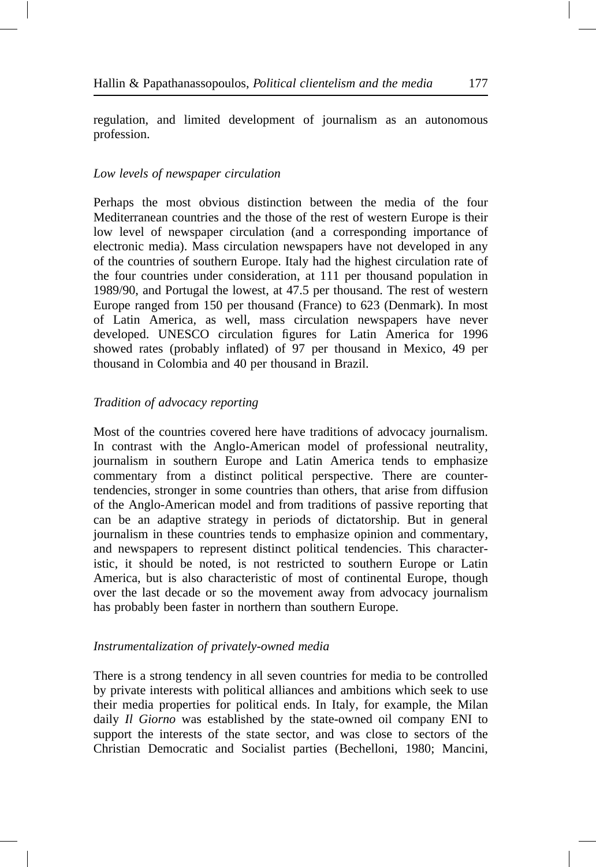regulation, and limited development of journalism as an autonomous profession.

# *Low levels of newspaper circulation*

Perhaps the most obvious distinction between the media of the four Mediterranean countries and the those of the rest of western Europe is their low level of newspaper circulation (and a corresponding importance of electronic media). Mass circulation newspapers have not developed in any of the countries of southern Europe. Italy had the highest circulation rate of the four countries under consideration, at 111 per thousand population in 1989/90, and Portugal the lowest, at 47.5 per thousand. The rest of western Europe ranged from 150 per thousand (France) to 623 (Denmark). In most of Latin America, as well, mass circulation newspapers have never developed. UNESCO circulation figures for Latin America for 1996 showed rates (probably inflated) of 97 per thousand in Mexico, 49 per thousand in Colombia and 40 per thousand in Brazil.

# *Tradition of advocacy reporting*

Most of the countries covered here have traditions of advocacy journalism. In contrast with the Anglo-American model of professional neutrality, journalism in southern Europe and Latin America tends to emphasize commentary from a distinct political perspective. There are countertendencies, stronger in some countries than others, that arise from diffusion of the Anglo-American model and from traditions of passive reporting that can be an adaptive strategy in periods of dictatorship. But in general journalism in these countries tends to emphasize opinion and commentary, and newspapers to represent distinct political tendencies. This characteristic, it should be noted, is not restricted to southern Europe or Latin America, but is also characteristic of most of continental Europe, though over the last decade or so the movement away from advocacy journalism has probably been faster in northern than southern Europe.

## *Instrumentalization of privately-owned media*

There is a strong tendency in all seven countries for media to be controlled by private interests with political alliances and ambitions which seek to use their media properties for political ends. In Italy, for example, the Milan daily *Il Giorno* was established by the state-owned oil company ENI to support the interests of the state sector, and was close to sectors of the Christian Democratic and Socialist parties (Bechelloni, 1980; Mancini,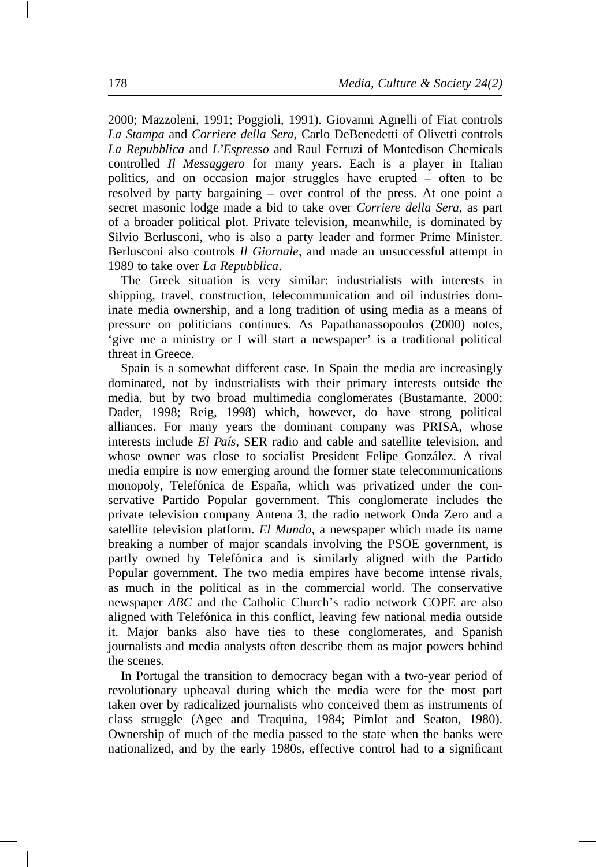2000; Mazzoleni, 1991; Poggioli, 1991). Giovanni Agnelli of Fiat controls *La Stampa* and *Corriere della Sera*, Carlo DeBenedetti of Olivetti controls *La Repubblica* and *L'Espresso* and Raul Ferruzi of Montedison Chemicals controlled *Il Messaggero* for many years. Each is a player in Italian politics, and on occasion major struggles have erupted – often to be resolved by party bargaining – over control of the press. At one point a secret masonic lodge made a bid to take over *Corriere della Sera*, as part of a broader political plot. Private television, meanwhile, is dominated by Silvio Berlusconi, who is also a party leader and former Prime Minister. Berlusconi also controls *Il Giornale*, and made an unsuccessful attempt in 1989 to take over *La Repubblica*.

The Greek situation is very similar: industrialists with interests in shipping, travel, construction, telecommunication and oil industries dominate media ownership, and a long tradition of using media as a means of pressure on politicians continues. As Papathanassopoulos (2000) notes, 'give me a ministry or I will start a newspaper' is a traditional political threat in Greece.

Spain is a somewhat different case. In Spain the media are increasingly dominated, not by industrialists with their primary interests outside the media, but by two broad multimedia conglomerates (Bustamante, 2000; Dader, 1998; Reig, 1998) which, however, do have strong political alliances. For many years the dominant company was PRISA, whose interests include *El País*, SER radio and cable and satellite television, and whose owner was close to socialist President Felipe González. A rival media empire is now emerging around the former state telecommunications monopoly, Telefónica de España, which was privatized under the conservative Partido Popular government. This conglomerate includes the private television company Antena 3, the radio network Onda Zero and a satellite television platform. *El Mundo*, a newspaper which made its name breaking a number of major scandals involving the PSOE government, is partly owned by Telefónica and is similarly aligned with the Partido Popular government. The two media empires have become intense rivals, as much in the political as in the commercial world. The conservative newspaper *ABC* and the Catholic Church's radio network COPE are also aligned with Telefónica in this conflict, leaving few national media outside it. Major banks also have ties to these conglomerates, and Spanish journalists and media analysts often describe them as major powers behind the scenes.

In Portugal the transition to democracy began with a two-year period of revolutionary upheaval during which the media were for the most part taken over by radicalized journalists who conceived them as instruments of class struggle (Agee and Traquina, 1984; Pimlot and Seaton, 1980). Ownership of much of the media passed to the state when the banks were nationalized, and by the early 1980s, effective control had to a significant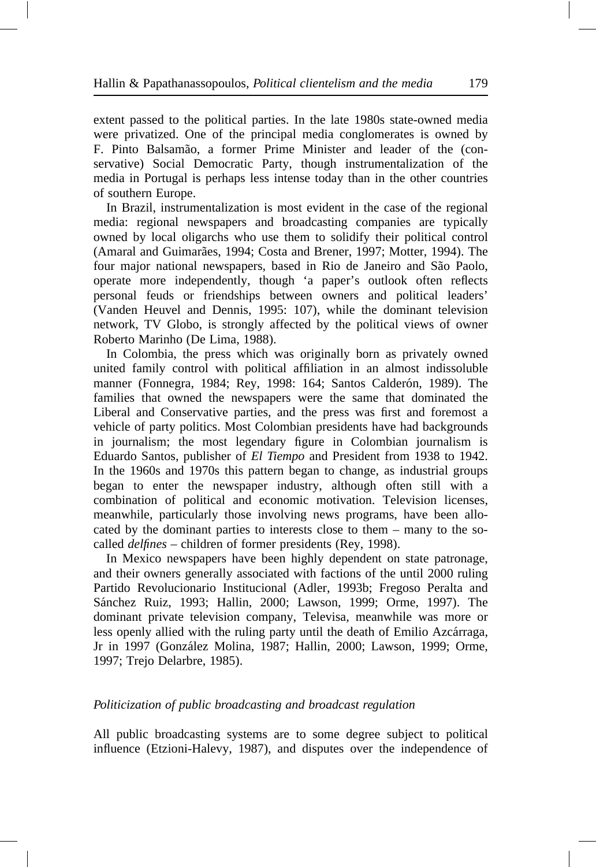extent passed to the political parties. In the late 1980s state-owned media were privatized. One of the principal media conglomerates is owned by F. Pinto Balsamão, a former Prime Minister and leader of the (conservative) Social Democratic Party, though instrumentalization of the media in Portugal is perhaps less intense today than in the other countries of southern Europe.

In Brazil, instrumentalization is most evident in the case of the regional media: regional newspapers and broadcasting companies are typically owned by local oligarchs who use them to solidify their political control (Amaral and Guimarães, 1994; Costa and Brener, 1997; Motter, 1994). The four major national newspapers, based in Rio de Janeiro and São Paolo, operate more independently, though 'a paper's outlook often reflects personal feuds or friendships between owners and political leaders' (Vanden Heuvel and Dennis, 1995: 107), while the dominant television network, TV Globo, is strongly affected by the political views of owner Roberto Marinho (De Lima, 1988).

In Colombia, the press which was originally born as privately owned united family control with political affiliation in an almost indissoluble manner (Fonnegra, 1984; Rey, 1998: 164; Santos Calderón, 1989). The families that owned the newspapers were the same that dominated the Liberal and Conservative parties, and the press was first and foremost a vehicle of party politics. Most Colombian presidents have had backgrounds in journalism; the most legendary figure in Colombian journalism is Eduardo Santos, publisher of *El Tiempo* and President from 1938 to 1942. In the 1960s and 1970s this pattern began to change, as industrial groups began to enter the newspaper industry, although often still with a combination of political and economic motivation. Television licenses, meanwhile, particularly those involving news programs, have been allocated by the dominant parties to interests close to them – many to the socalled *delfines* – children of former presidents (Rey, 1998).

In Mexico newspapers have been highly dependent on state patronage, and their owners generally associated with factions of the until 2000 ruling Partido Revolucionario Institucional (Adler, 1993b; Fregoso Peralta and Sánchez Ruiz, 1993; Hallin, 2000; Lawson, 1999; Orme, 1997). The dominant private television company, Televisa, meanwhile was more or less openly allied with the ruling party until the death of Emilio Azcárraga, Jr in 1997 (González Molina, 1987; Hallin, 2000; Lawson, 1999; Orme, 1997; Trejo Delarbre, 1985).

### *Politicization of public broadcasting and broadcast regulation*

All public broadcasting systems are to some degree subject to political influence (Etzioni-Halevy, 1987), and disputes over the independence of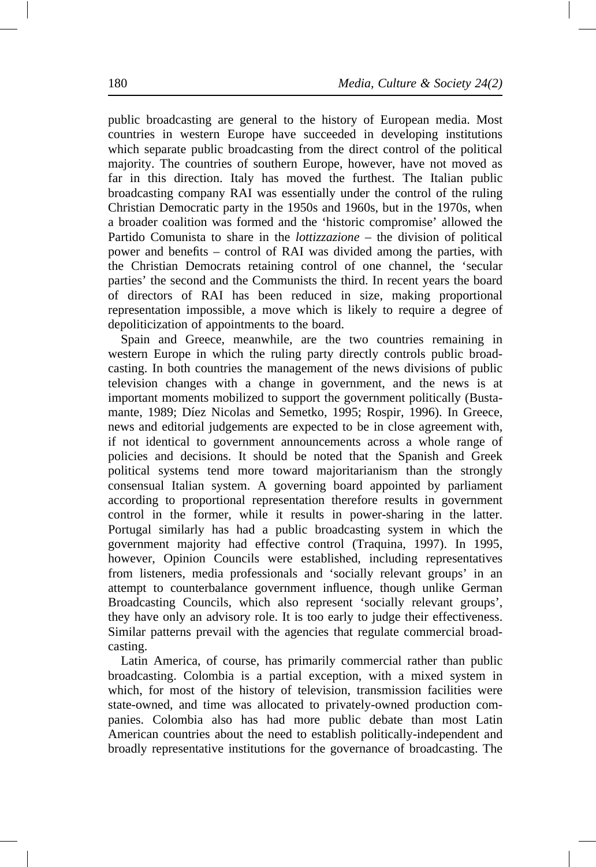public broadcasting are general to the history of European media. Most countries in western Europe have succeeded in developing institutions which separate public broadcasting from the direct control of the political majority. The countries of southern Europe, however, have not moved as far in this direction. Italy has moved the furthest. The Italian public broadcasting company RAI was essentially under the control of the ruling Christian Democratic party in the 1950s and 1960s, but in the 1970s, when a broader coalition was formed and the 'historic compromise' allowed the Partido Comunista to share in the *lottizzazione* – the division of political power and benefits – control of RAI was divided among the parties, with the Christian Democrats retaining control of one channel, the 'secular parties' the second and the Communists the third. In recent years the board of directors of RAI has been reduced in size, making proportional representation impossible, a move which is likely to require a degree of depoliticization of appointments to the board.

Spain and Greece, meanwhile, are the two countries remaining in western Europe in which the ruling party directly controls public broadcasting. In both countries the management of the news divisions of public television changes with a change in government, and the news is at important moments mobilized to support the government politically (Bustamante, 1989; Díez Nicolas and Semetko, 1995; Rospir, 1996). In Greece, news and editorial judgements are expected to be in close agreement with, if not identical to government announcements across a whole range of policies and decisions. It should be noted that the Spanish and Greek political systems tend more toward majoritarianism than the strongly consensual Italian system. A governing board appointed by parliament according to proportional representation therefore results in government control in the former, while it results in power-sharing in the latter. Portugal similarly has had a public broadcasting system in which the government majority had effective control (Traquina, 1997). In 1995, however, Opinion Councils were established, including representatives from listeners, media professionals and 'socially relevant groups' in an attempt to counterbalance government influence, though unlike German Broadcasting Councils, which also represent 'socially relevant groups', they have only an advisory role. It is too early to judge their effectiveness. Similar patterns prevail with the agencies that regulate commercial broadcasting.

Latin America, of course, has primarily commercial rather than public broadcasting. Colombia is a partial exception, with a mixed system in which, for most of the history of television, transmission facilities were state-owned, and time was allocated to privately-owned production companies. Colombia also has had more public debate than most Latin American countries about the need to establish politically-independent and broadly representative institutions for the governance of broadcasting. The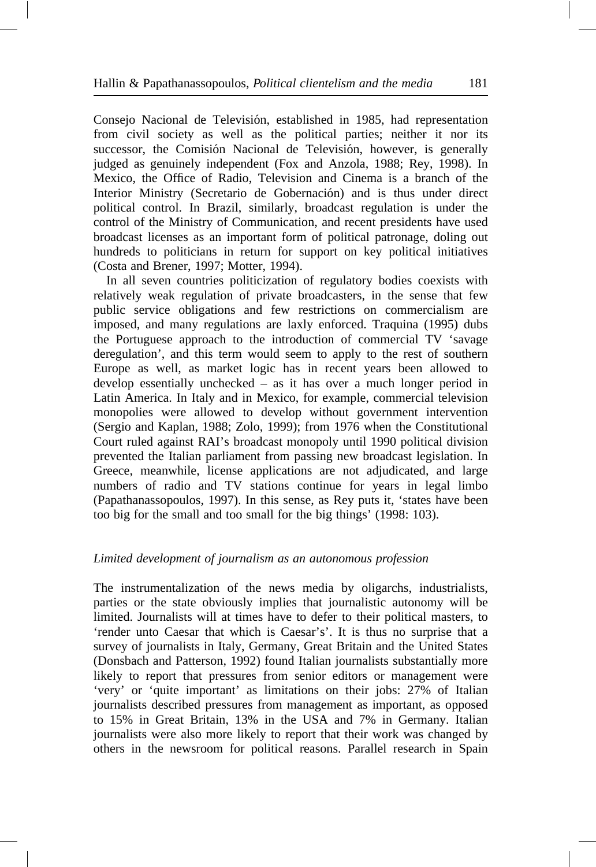Consejo Nacional de Televisión, established in 1985, had representation from civil society as well as the political parties; neither it nor its successor, the Comisión Nacional de Televisión, however, is generally judged as genuinely independent (Fox and Anzola, 1988; Rey, 1998). In Mexico, the Office of Radio, Television and Cinema is a branch of the Interior Ministry (Secretario de Gobernación) and is thus under direct political control. In Brazil, similarly, broadcast regulation is under the control of the Ministry of Communication, and recent presidents have used broadcast licenses as an important form of political patronage, doling out hundreds to politicians in return for support on key political initiatives (Costa and Brener, 1997; Motter, 1994).

In all seven countries politicization of regulatory bodies coexists with relatively weak regulation of private broadcasters, in the sense that few public service obligations and few restrictions on commercialism are imposed, and many regulations are laxly enforced. Traquina (1995) dubs the Portuguese approach to the introduction of commercial TV 'savage deregulation', and this term would seem to apply to the rest of southern Europe as well, as market logic has in recent years been allowed to develop essentially unchecked – as it has over a much longer period in Latin America. In Italy and in Mexico, for example, commercial television monopolies were allowed to develop without government intervention (Sergio and Kaplan, 1988; Zolo, 1999); from 1976 when the Constitutional Court ruled against RAI's broadcast monopoly until 1990 political division prevented the Italian parliament from passing new broadcast legislation. In Greece, meanwhile, license applications are not adjudicated, and large numbers of radio and TV stations continue for years in legal limbo (Papathanassopoulos, 1997). In this sense, as Rey puts it, 'states have been too big for the small and too small for the big things' (1998: 103).

# *Limited development of journalism as an autonomous profession*

The instrumentalization of the news media by oligarchs, industrialists, parties or the state obviously implies that journalistic autonomy will be limited. Journalists will at times have to defer to their political masters, to 'render unto Caesar that which is Caesar's'. It is thus no surprise that a survey of journalists in Italy, Germany, Great Britain and the United States (Donsbach and Patterson, 1992) found Italian journalists substantially more likely to report that pressures from senior editors or management were 'very' or 'quite important' as limitations on their jobs: 27% of Italian journalists described pressures from management as important, as opposed to 15% in Great Britain, 13% in the USA and 7% in Germany. Italian journalists were also more likely to report that their work was changed by others in the newsroom for political reasons. Parallel research in Spain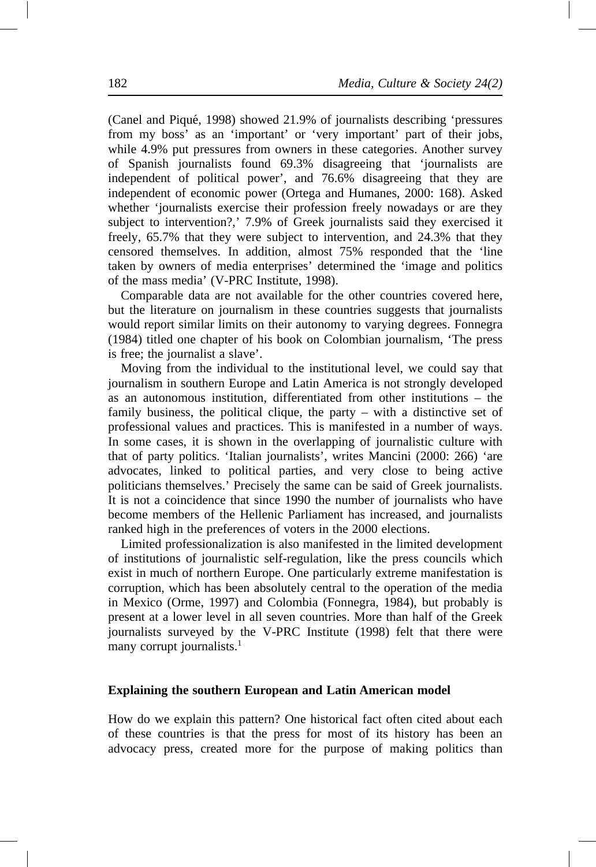(Canel and Piqué, 1998) showed 21.9% of journalists describing 'pressures from my boss' as an 'important' or 'very important' part of their jobs, while 4.9% put pressures from owners in these categories. Another survey of Spanish journalists found 69.3% disagreeing that 'journalists are independent of political power', and 76.6% disagreeing that they are independent of economic power (Ortega and Humanes, 2000: 168). Asked whether 'journalists exercise their profession freely nowadays or are they subject to intervention?,' 7.9% of Greek journalists said they exercised it freely, 65.7% that they were subject to intervention, and 24.3% that they censored themselves. In addition, almost 75% responded that the 'line taken by owners of media enterprises' determined the 'image and politics of the mass media' (V-PRC Institute, 1998).

Comparable data are not available for the other countries covered here, but the literature on journalism in these countries suggests that journalists would report similar limits on their autonomy to varying degrees. Fonnegra (1984) titled one chapter of his book on Colombian journalism, 'The press is free; the journalist a slave'.

Moving from the individual to the institutional level, we could say that journalism in southern Europe and Latin America is not strongly developed as an autonomous institution, differentiated from other institutions – the family business, the political clique, the party – with a distinctive set of professional values and practices. This is manifested in a number of ways. In some cases, it is shown in the overlapping of journalistic culture with that of party politics. 'Italian journalists', writes Mancini (2000: 266) 'are advocates, linked to political parties, and very close to being active politicians themselves.' Precisely the same can be said of Greek journalists. It is not a coincidence that since 1990 the number of journalists who have become members of the Hellenic Parliament has increased, and journalists ranked high in the preferences of voters in the 2000 elections.

Limited professionalization is also manifested in the limited development of institutions of journalistic self-regulation, like the press councils which exist in much of northern Europe. One particularly extreme manifestation is corruption, which has been absolutely central to the operation of the media in Mexico (Orme, 1997) and Colombia (Fonnegra, 1984), but probably is present at a lower level in all seven countries. More than half of the Greek journalists surveyed by the V-PRC Institute (1998) felt that there were many corrupt journalists. $<sup>1</sup>$ </sup>

#### **Explaining the southern European and Latin American model**

How do we explain this pattern? One historical fact often cited about each of these countries is that the press for most of its history has been an advocacy press, created more for the purpose of making politics than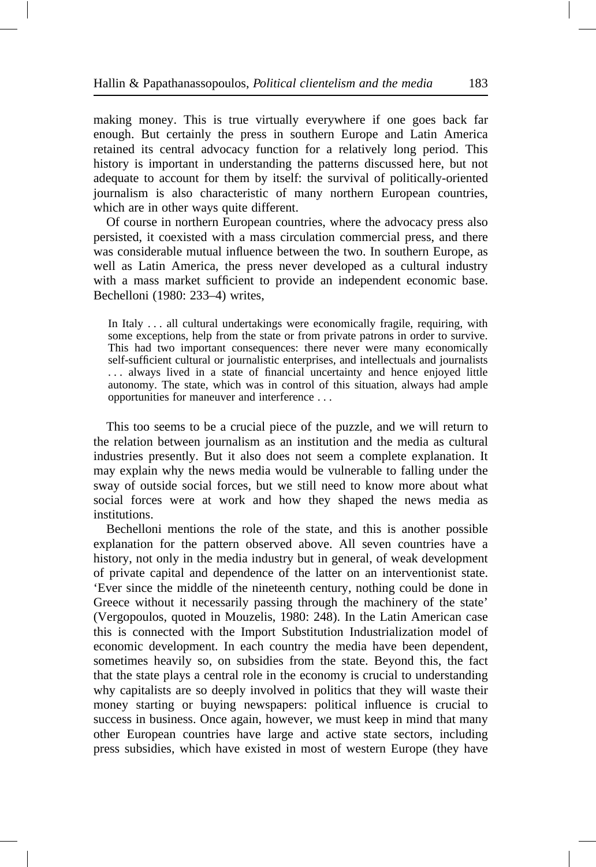making money. This is true virtually everywhere if one goes back far enough. But certainly the press in southern Europe and Latin America retained its central advocacy function for a relatively long period. This history is important in understanding the patterns discussed here, but not adequate to account for them by itself: the survival of politically-oriented journalism is also characteristic of many northern European countries, which are in other ways quite different.

Of course in northern European countries, where the advocacy press also persisted, it coexisted with a mass circulation commercial press, and there was considerable mutual influence between the two. In southern Europe, as well as Latin America, the press never developed as a cultural industry with a mass market sufficient to provide an independent economic base. Bechelloni (1980: 233–4) writes,

In Italy . . . all cultural undertakings were economically fragile, requiring, with some exceptions, help from the state or from private patrons in order to survive. This had two important consequences: there never were many economically self-sufficient cultural or journalistic enterprises, and intellectuals and journalists ... always lived in a state of financial uncertainty and hence enjoyed little autonomy. The state, which was in control of this situation, always had ample opportunities for maneuver and interference . . .

This too seems to be a crucial piece of the puzzle, and we will return to the relation between journalism as an institution and the media as cultural industries presently. But it also does not seem a complete explanation. It may explain why the news media would be vulnerable to falling under the sway of outside social forces, but we still need to know more about what social forces were at work and how they shaped the news media as institutions.

Bechelloni mentions the role of the state, and this is another possible explanation for the pattern observed above. All seven countries have a history, not only in the media industry but in general, of weak development of private capital and dependence of the latter on an interventionist state. 'Ever since the middle of the nineteenth century, nothing could be done in Greece without it necessarily passing through the machinery of the state' (Vergopoulos, quoted in Mouzelis, 1980: 248). In the Latin American case this is connected with the Import Substitution Industrialization model of economic development. In each country the media have been dependent, sometimes heavily so, on subsidies from the state. Beyond this, the fact that the state plays a central role in the economy is crucial to understanding why capitalists are so deeply involved in politics that they will waste their money starting or buying newspapers: political influence is crucial to success in business. Once again, however, we must keep in mind that many other European countries have large and active state sectors, including press subsidies, which have existed in most of western Europe (they have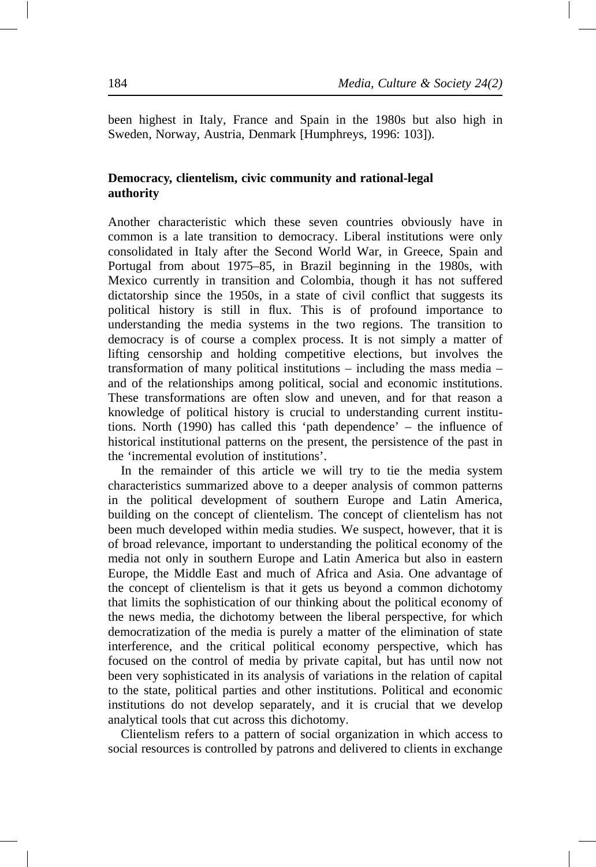been highest in Italy, France and Spain in the 1980s but also high in Sweden, Norway, Austria, Denmark [Humphreys, 1996: 103]).

## **Democracy, clientelism, civic community and rational-legal authority**

Another characteristic which these seven countries obviously have in common is a late transition to democracy. Liberal institutions were only consolidated in Italy after the Second World War, in Greece, Spain and Portugal from about 1975–85, in Brazil beginning in the 1980s, with Mexico currently in transition and Colombia, though it has not suffered dictatorship since the 1950s, in a state of civil conflict that suggests its political history is still in flux. This is of profound importance to understanding the media systems in the two regions. The transition to democracy is of course a complex process. It is not simply a matter of lifting censorship and holding competitive elections, but involves the transformation of many political institutions – including the mass media – and of the relationships among political, social and economic institutions. These transformations are often slow and uneven, and for that reason a knowledge of political history is crucial to understanding current institutions. North (1990) has called this 'path dependence' – the influence of historical institutional patterns on the present, the persistence of the past in the 'incremental evolution of institutions'.

In the remainder of this article we will try to tie the media system characteristics summarized above to a deeper analysis of common patterns in the political development of southern Europe and Latin America, building on the concept of clientelism. The concept of clientelism has not been much developed within media studies. We suspect, however, that it is of broad relevance, important to understanding the political economy of the media not only in southern Europe and Latin America but also in eastern Europe, the Middle East and much of Africa and Asia. One advantage of the concept of clientelism is that it gets us beyond a common dichotomy that limits the sophistication of our thinking about the political economy of the news media, the dichotomy between the liberal perspective, for which democratization of the media is purely a matter of the elimination of state interference, and the critical political economy perspective, which has focused on the control of media by private capital, but has until now not been very sophisticated in its analysis of variations in the relation of capital to the state, political parties and other institutions. Political and economic institutions do not develop separately, and it is crucial that we develop analytical tools that cut across this dichotomy.

Clientelism refers to a pattern of social organization in which access to social resources is controlled by patrons and delivered to clients in exchange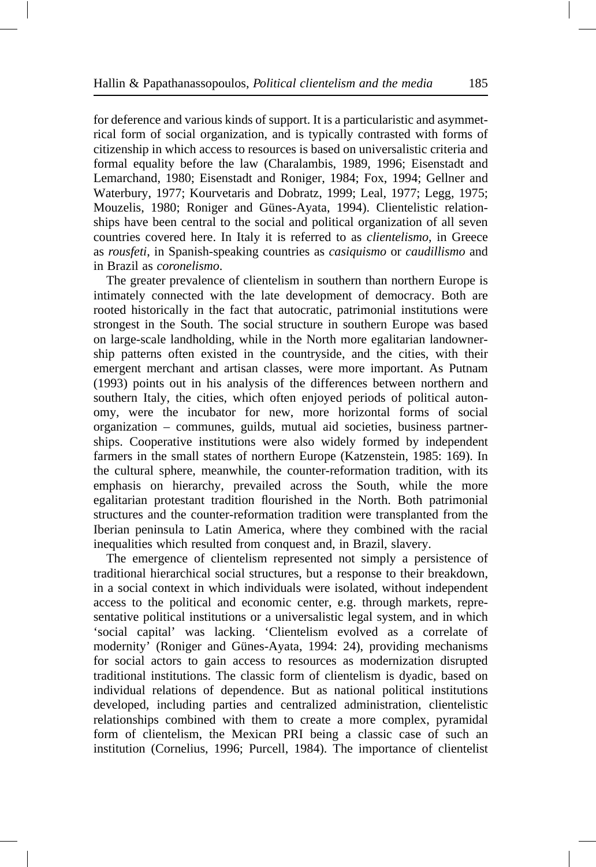for deference and various kinds of support. It is a particularistic and asymmetrical form of social organization, and is typically contrasted with forms of citizenship in which access to resources is based on universalistic criteria and formal equality before the law (Charalambis, 1989, 1996; Eisenstadt and Lemarchand, 1980; Eisenstadt and Roniger, 1984; Fox, 1994; Gellner and Waterbury, 1977; Kourvetaris and Dobratz, 1999; Leal, 1977; Legg, 1975; Mouzelis, 1980; Roniger and Günes-Ayata, 1994). Clientelistic relationships have been central to the social and political organization of all seven countries covered here. In Italy it is referred to as *clientelismo*, in Greece as *rousfeti*, in Spanish-speaking countries as *casiquismo* or *caudillismo* and in Brazil as *coronelismo*.

The greater prevalence of clientelism in southern than northern Europe is intimately connected with the late development of democracy. Both are rooted historically in the fact that autocratic, patrimonial institutions were strongest in the South. The social structure in southern Europe was based on large-scale landholding, while in the North more egalitarian landownership patterns often existed in the countryside, and the cities, with their emergent merchant and artisan classes, were more important. As Putnam (1993) points out in his analysis of the differences between northern and southern Italy, the cities, which often enjoyed periods of political autonomy, were the incubator for new, more horizontal forms of social organization – communes, guilds, mutual aid societies, business partnerships. Cooperative institutions were also widely formed by independent farmers in the small states of northern Europe (Katzenstein, 1985: 169). In the cultural sphere, meanwhile, the counter-reformation tradition, with its emphasis on hierarchy, prevailed across the South, while the more egalitarian protestant tradition flourished in the North. Both patrimonial structures and the counter-reformation tradition were transplanted from the Iberian peninsula to Latin America, where they combined with the racial inequalities which resulted from conquest and, in Brazil, slavery.

The emergence of clientelism represented not simply a persistence of traditional hierarchical social structures, but a response to their breakdown, in a social context in which individuals were isolated, without independent access to the political and economic center, e.g. through markets, representative political institutions or a universalistic legal system, and in which 'social capital' was lacking. 'Clientelism evolved as a correlate of modernity' (Roniger and Günes-Ayata, 1994: 24), providing mechanisms for social actors to gain access to resources as modernization disrupted traditional institutions. The classic form of clientelism is dyadic, based on individual relations of dependence. But as national political institutions developed, including parties and centralized administration, clientelistic relationships combined with them to create a more complex, pyramidal form of clientelism, the Mexican PRI being a classic case of such an institution (Cornelius, 1996; Purcell, 1984). The importance of clientelist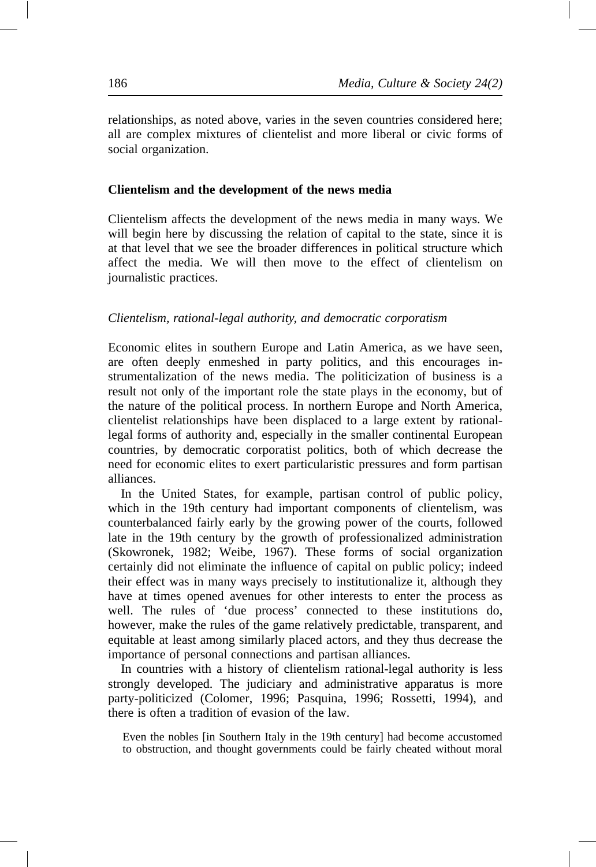relationships, as noted above, varies in the seven countries considered here; all are complex mixtures of clientelist and more liberal or civic forms of social organization.

# **Clientelism and the development of the news media**

Clientelism affects the development of the news media in many ways. We will begin here by discussing the relation of capital to the state, since it is at that level that we see the broader differences in political structure which affect the media. We will then move to the effect of clientelism on journalistic practices.

# *Clientelism, rational-legal authority, and democratic corporatism*

Economic elites in southern Europe and Latin America, as we have seen, are often deeply enmeshed in party politics, and this encourages instrumentalization of the news media. The politicization of business is a result not only of the important role the state plays in the economy, but of the nature of the political process. In northern Europe and North America, clientelist relationships have been displaced to a large extent by rationallegal forms of authority and, especially in the smaller continental European countries, by democratic corporatist politics, both of which decrease the need for economic elites to exert particularistic pressures and form partisan alliances.

In the United States, for example, partisan control of public policy, which in the 19th century had important components of clientelism, was counterbalanced fairly early by the growing power of the courts, followed late in the 19th century by the growth of professionalized administration (Skowronek, 1982; Weibe, 1967). These forms of social organization certainly did not eliminate the influence of capital on public policy; indeed their effect was in many ways precisely to institutionalize it, although they have at times opened avenues for other interests to enter the process as well. The rules of 'due process' connected to these institutions do, however, make the rules of the game relatively predictable, transparent, and equitable at least among similarly placed actors, and they thus decrease the importance of personal connections and partisan alliances.

In countries with a history of clientelism rational-legal authority is less strongly developed. The judiciary and administrative apparatus is more party-politicized (Colomer, 1996; Pasquina, 1996; Rossetti, 1994), and there is often a tradition of evasion of the law.

Even the nobles [in Southern Italy in the 19th century] had become accustomed to obstruction, and thought governments could be fairly cheated without moral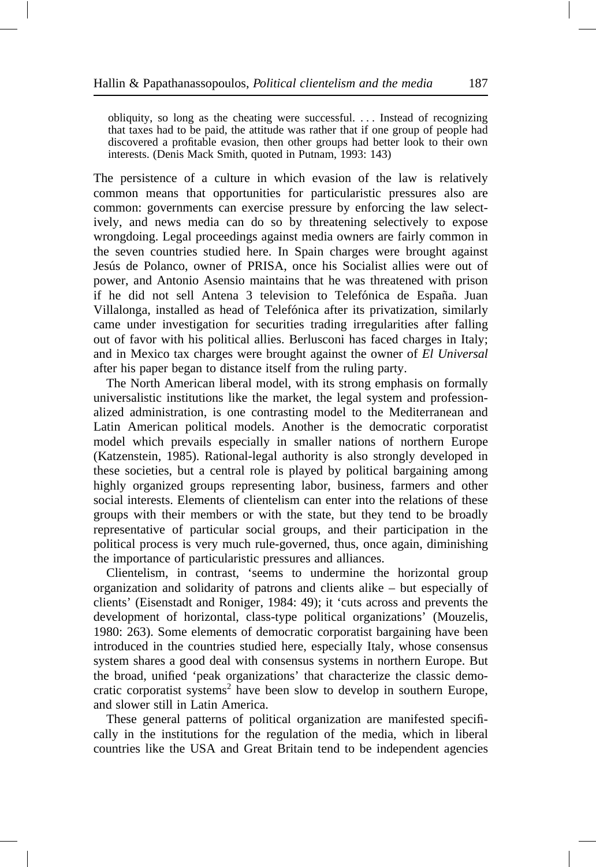obliquity, so long as the cheating were successful. . . . Instead of recognizing that taxes had to be paid, the attitude was rather that if one group of people had discovered a profitable evasion, then other groups had better look to their own interests. (Denis Mack Smith, quoted in Putnam, 1993: 143)

The persistence of a culture in which evasion of the law is relatively common means that opportunities for particularistic pressures also are common: governments can exercise pressure by enforcing the law selectively, and news media can do so by threatening selectively to expose wrongdoing. Legal proceedings against media owners are fairly common in the seven countries studied here. In Spain charges were brought against Jesús de Polanco, owner of PRISA, once his Socialist allies were out of power, and Antonio Asensio maintains that he was threatened with prison if he did not sell Antena 3 television to Telefónica de España. Juan Villalonga, installed as head of Telefónica after its privatization, similarly came under investigation for securities trading irregularities after falling out of favor with his political allies. Berlusconi has faced charges in Italy; and in Mexico tax charges were brought against the owner of *El Universal* after his paper began to distance itself from the ruling party.

The North American liberal model, with its strong emphasis on formally universalistic institutions like the market, the legal system and professionalized administration, is one contrasting model to the Mediterranean and Latin American political models. Another is the democratic corporatist model which prevails especially in smaller nations of northern Europe (Katzenstein, 1985). Rational-legal authority is also strongly developed in these societies, but a central role is played by political bargaining among highly organized groups representing labor, business, farmers and other social interests. Elements of clientelism can enter into the relations of these groups with their members or with the state, but they tend to be broadly representative of particular social groups, and their participation in the political process is very much rule-governed, thus, once again, diminishing the importance of particularistic pressures and alliances.

Clientelism, in contrast, 'seems to undermine the horizontal group organization and solidarity of patrons and clients alike – but especially of clients' (Eisenstadt and Roniger, 1984: 49); it 'cuts across and prevents the development of horizontal, class-type political organizations' (Mouzelis, 1980: 263). Some elements of democratic corporatist bargaining have been introduced in the countries studied here, especially Italy, whose consensus system shares a good deal with consensus systems in northern Europe. But the broad, unified 'peak organizations' that characterize the classic democratic corporatist systems<sup>2</sup> have been slow to develop in southern Europe, and slower still in Latin America.

These general patterns of political organization are manifested specifically in the institutions for the regulation of the media, which in liberal countries like the USA and Great Britain tend to be independent agencies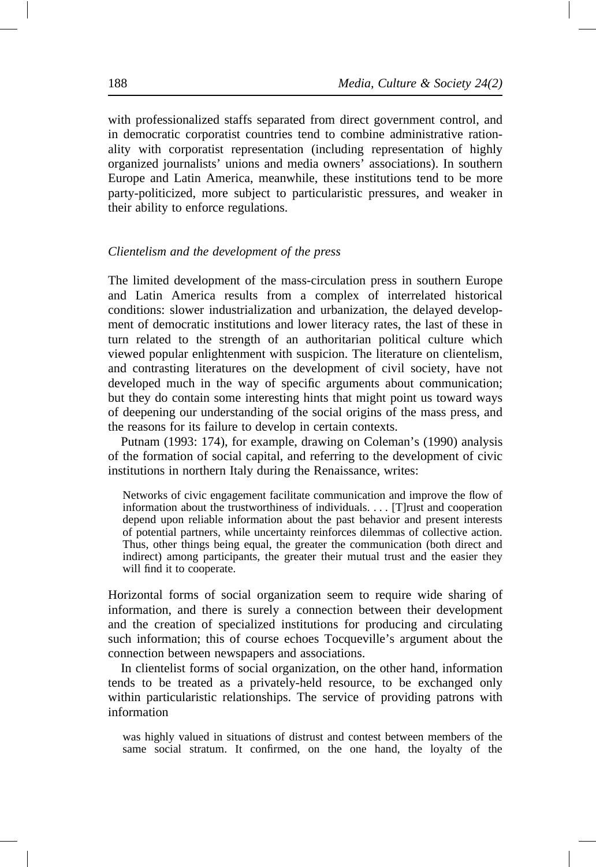with professionalized staffs separated from direct government control, and in democratic corporatist countries tend to combine administrative rationality with corporatist representation (including representation of highly organized journalists' unions and media owners' associations). In southern Europe and Latin America, meanwhile, these institutions tend to be more party-politicized, more subject to particularistic pressures, and weaker in their ability to enforce regulations.

### *Clientelism and the development of the press*

The limited development of the mass-circulation press in southern Europe and Latin America results from a complex of interrelated historical conditions: slower industrialization and urbanization, the delayed development of democratic institutions and lower literacy rates, the last of these in turn related to the strength of an authoritarian political culture which viewed popular enlightenment with suspicion. The literature on clientelism, and contrasting literatures on the development of civil society, have not developed much in the way of specific arguments about communication; but they do contain some interesting hints that might point us toward ways of deepening our understanding of the social origins of the mass press, and the reasons for its failure to develop in certain contexts.

Putnam (1993: 174), for example, drawing on Coleman's (1990) analysis of the formation of social capital, and referring to the development of civic institutions in northern Italy during the Renaissance, writes:

Networks of civic engagement facilitate communication and improve the flow of information about the trustworthiness of individuals. . . . [T]rust and cooperation depend upon reliable information about the past behavior and present interests of potential partners, while uncertainty reinforces dilemmas of collective action. Thus, other things being equal, the greater the communication (both direct and indirect) among participants, the greater their mutual trust and the easier they will find it to cooperate.

Horizontal forms of social organization seem to require wide sharing of information, and there is surely a connection between their development and the creation of specialized institutions for producing and circulating such information; this of course echoes Tocqueville's argument about the connection between newspapers and associations.

In clientelist forms of social organization, on the other hand, information tends to be treated as a privately-held resource, to be exchanged only within particularistic relationships. The service of providing patrons with information

was highly valued in situations of distrust and contest between members of the same social stratum. It confirmed, on the one hand, the loyalty of the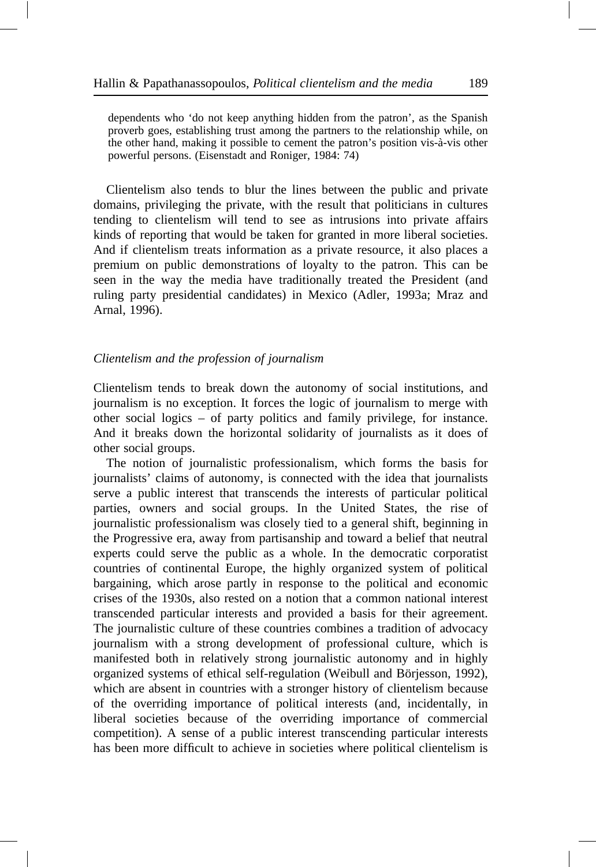dependents who 'do not keep anything hidden from the patron', as the Spanish proverb goes, establishing trust among the partners to the relationship while, on the other hand, making it possible to cement the patron's position vis- $\hat{a}$ -vis other powerful persons. (Eisenstadt and Roniger, 1984: 74)

Clientelism also tends to blur the lines between the public and private domains, privileging the private, with the result that politicians in cultures tending to clientelism will tend to see as intrusions into private affairs kinds of reporting that would be taken for granted in more liberal societies. And if clientelism treats information as a private resource, it also places a premium on public demonstrations of loyalty to the patron. This can be seen in the way the media have traditionally treated the President (and ruling party presidential candidates) in Mexico (Adler, 1993a; Mraz and Arnal, 1996).

#### *Clientelism and the profession of journalism*

Clientelism tends to break down the autonomy of social institutions, and journalism is no exception. It forces the logic of journalism to merge with other social logics – of party politics and family privilege, for instance. And it breaks down the horizontal solidarity of journalists as it does of other social groups.

The notion of journalistic professionalism, which forms the basis for journalists' claims of autonomy, is connected with the idea that journalists serve a public interest that transcends the interests of particular political parties, owners and social groups. In the United States, the rise of journalistic professionalism was closely tied to a general shift, beginning in the Progressive era, away from partisanship and toward a belief that neutral experts could serve the public as a whole. In the democratic corporatist countries of continental Europe, the highly organized system of political bargaining, which arose partly in response to the political and economic crises of the 1930s, also rested on a notion that a common national interest transcended particular interests and provided a basis for their agreement. The journalistic culture of these countries combines a tradition of advocacy journalism with a strong development of professional culture, which is manifested both in relatively strong journalistic autonomy and in highly organized systems of ethical self-regulation (Weibull and Börjesson, 1992), which are absent in countries with a stronger history of clientelism because of the overriding importance of political interests (and, incidentally, in liberal societies because of the overriding importance of commercial competition). A sense of a public interest transcending particular interests has been more difficult to achieve in societies where political clientelism is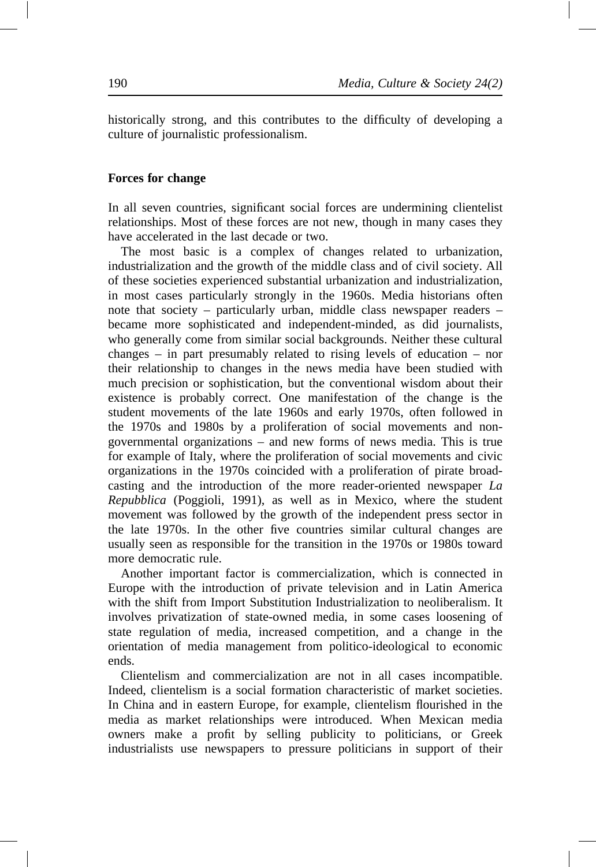historically strong, and this contributes to the difficulty of developing a culture of journalistic professionalism.

## **Forces for change**

In all seven countries, significant social forces are undermining clientelist relationships. Most of these forces are not new, though in many cases they have accelerated in the last decade or two.

The most basic is a complex of changes related to urbanization, industrialization and the growth of the middle class and of civil society. All of these societies experienced substantial urbanization and industrialization, in most cases particularly strongly in the 1960s. Media historians often note that society – particularly urban, middle class newspaper readers – became more sophisticated and independent-minded, as did journalists, who generally come from similar social backgrounds. Neither these cultural changes – in part presumably related to rising levels of education – nor their relationship to changes in the news media have been studied with much precision or sophistication, but the conventional wisdom about their existence is probably correct. One manifestation of the change is the student movements of the late 1960s and early 1970s, often followed in the 1970s and 1980s by a proliferation of social movements and nongovernmental organizations – and new forms of news media. This is true for example of Italy, where the proliferation of social movements and civic organizations in the 1970s coincided with a proliferation of pirate broadcasting and the introduction of the more reader-oriented newspaper *La Repubblica* (Poggioli, 1991), as well as in Mexico, where the student movement was followed by the growth of the independent press sector in the late 1970s. In the other five countries similar cultural changes are usually seen as responsible for the transition in the 1970s or 1980s toward more democratic rule.

Another important factor is commercialization, which is connected in Europe with the introduction of private television and in Latin America with the shift from Import Substitution Industrialization to neoliberalism. It involves privatization of state-owned media, in some cases loosening of state regulation of media, increased competition, and a change in the orientation of media management from politico-ideological to economic ends.

Clientelism and commercialization are not in all cases incompatible. Indeed, clientelism is a social formation characteristic of market societies. In China and in eastern Europe, for example, clientelism flourished in the media as market relationships were introduced. When Mexican media owners make a profit by selling publicity to politicians, or Greek industrialists use newspapers to pressure politicians in support of their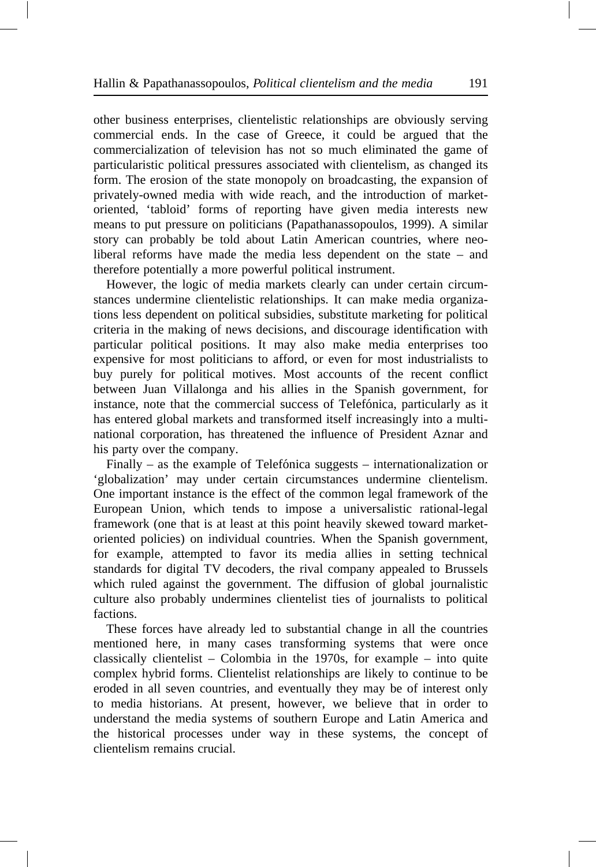other business enterprises, clientelistic relationships are obviously serving commercial ends. In the case of Greece, it could be argued that the commercialization of television has not so much eliminated the game of particularistic political pressures associated with clientelism, as changed its form. The erosion of the state monopoly on broadcasting, the expansion of privately-owned media with wide reach, and the introduction of marketoriented, 'tabloid' forms of reporting have given media interests new means to put pressure on politicians (Papathanassopoulos, 1999). A similar story can probably be told about Latin American countries, where neoliberal reforms have made the media less dependent on the state – and therefore potentially a more powerful political instrument.

However, the logic of media markets clearly can under certain circumstances undermine clientelistic relationships. It can make media organizations less dependent on political subsidies, substitute marketing for political criteria in the making of news decisions, and discourage identification with particular political positions. It may also make media enterprises too expensive for most politicians to afford, or even for most industrialists to buy purely for political motives. Most accounts of the recent conflict between Juan Villalonga and his allies in the Spanish government, for instance, note that the commercial success of Telefónica, particularly as it has entered global markets and transformed itself increasingly into a multinational corporation, has threatened the influence of President Aznar and his party over the company.

Finally – as the example of Telefónica suggests – internationalization or 'globalization' may under certain circumstances undermine clientelism. One important instance is the effect of the common legal framework of the European Union, which tends to impose a universalistic rational-legal framework (one that is at least at this point heavily skewed toward marketoriented policies) on individual countries. When the Spanish government, for example, attempted to favor its media allies in setting technical standards for digital TV decoders, the rival company appealed to Brussels which ruled against the government. The diffusion of global journalistic culture also probably undermines clientelist ties of journalists to political factions.

These forces have already led to substantial change in all the countries mentioned here, in many cases transforming systems that were once classically clientelist – Colombia in the 1970s, for example – into quite complex hybrid forms. Clientelist relationships are likely to continue to be eroded in all seven countries, and eventually they may be of interest only to media historians. At present, however, we believe that in order to understand the media systems of southern Europe and Latin America and the historical processes under way in these systems, the concept of clientelism remains crucial.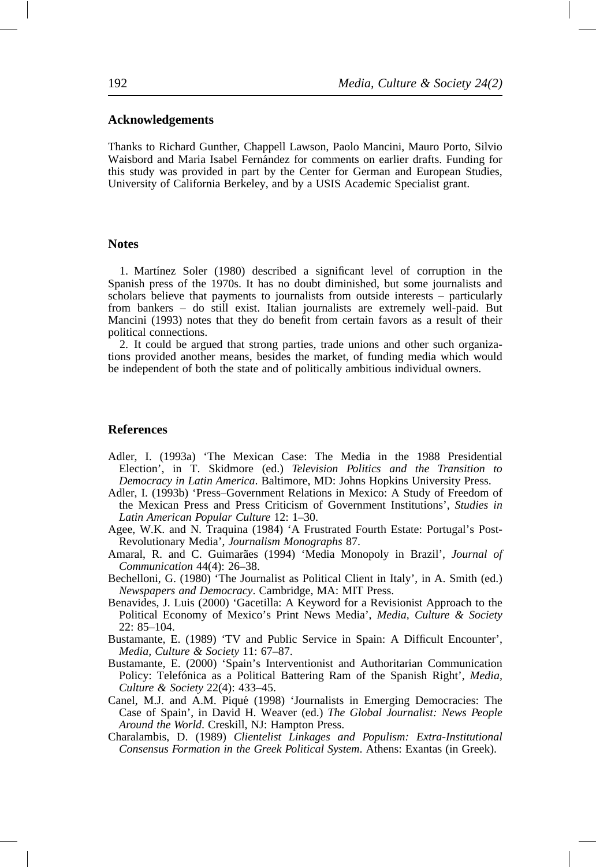#### **Acknowledgements**

Thanks to Richard Gunther, Chappell Lawson, Paolo Mancini, Mauro Porto, Silvio Waisbord and Maria Isabel Fernández for comments on earlier drafts. Funding for this study was provided in part by the Center for German and European Studies, University of California Berkeley, and by a USIS Academic Specialist grant.

#### **Notes**

1. Martínez Soler (1980) described a significant level of corruption in the Spanish press of the 1970s. It has no doubt diminished, but some journalists and scholars believe that payments to journalists from outside interests – particularly from bankers – do still exist. Italian journalists are extremely well-paid. But Mancini (1993) notes that they do benefit from certain favors as a result of their political connections.

2. It could be argued that strong parties, trade unions and other such organizations provided another means, besides the market, of funding media which would be independent of both the state and of politically ambitious individual owners.

#### **References**

- Adler, I. (1993a) 'The Mexican Case: The Media in the 1988 Presidential Election', in T. Skidmore (ed.) *Television Politics and the Transition to Democracy in Latin America*. Baltimore, MD: Johns Hopkins University Press.
- Adler, I. (1993b) 'Press–Government Relations in Mexico: A Study of Freedom of the Mexican Press and Press Criticism of Government Institutions', *Studies in Latin American Popular Culture* 12: 1–30.
- Agee, W.K. and N. Traquina (1984) 'A Frustrated Fourth Estate: Portugal's Post-Revolutionary Media', *Journalism Monographs* 87.
- Amaral, R. and C. Guimarães (1994) 'Media Monopoly in Brazil', *Journal of Communication* 44(4): 26–38.
- Bechelloni, G. (1980) 'The Journalist as Political Client in Italy', in A. Smith (ed.) *Newspapers and Democracy*. Cambridge, MA: MIT Press.
- Benavides, J. Luis (2000) 'Gacetilla: A Keyword for a Revisionist Approach to the Political Economy of Mexico's Print News Media', *Media, Culture & Society* 22: 85–104.
- Bustamante, E. (1989) 'TV and Public Service in Spain: A Difficult Encounter', *Media, Culture & Society* 11: 67–87.
- Bustamante, E. (2000) 'Spain's Interventionist and Authoritarian Communication Policy: Telefónica as a Political Battering Ram of the Spanish Right', *Media*, *Culture & Society* 22(4): 433–45.
- Canel, M.J. and A.M. Piqué (1998) 'Journalists in Emerging Democracies: The Case of Spain', in David H. Weaver (ed.) *The Global Journalist: News People Around the World*. Creskill, NJ: Hampton Press.
- Charalambis, D. (1989) *Clientelist Linkages and Populism: Extra-Institutional Consensus Formation in the Greek Political System*. Athens: Exantas (in Greek).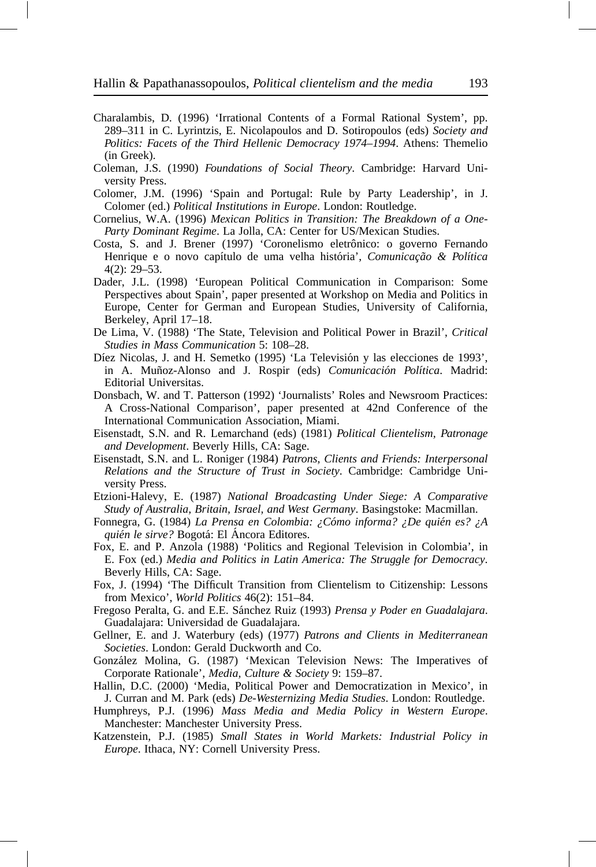- Charalambis, D. (1996) 'Irrational Contents of a Formal Rational System', pp. 289–311 in C. Lyrintzis, E. Nicolapoulos and D. Sotiropoulos (eds) *Society and Politics: Facets of the Third Hellenic Democracy 1974–1994*. Athens: Themelio (in Greek).
- Coleman, J.S. (1990) *Foundations of Social Theory*. Cambridge: Harvard University Press.
- Colomer, J.M. (1996) 'Spain and Portugal: Rule by Party Leadership', in J. Colomer (ed.) *Political Institutions in Europe*. London: Routledge.
- Cornelius, W.A. (1996) *Mexican Politics in Transition: The Breakdown of a One-Party Dominant Regime*. La Jolla, CA: Center for US/Mexican Studies.
- Costa, S. and J. Brener (1997) 'Coronelismo eletrônico: o governo Fernando Henrique e o novo capítulo de uma velha história', *Comunicação & Política* 4(2): 29–53.
- Dader, J.L. (1998) 'European Political Communication in Comparison: Some Perspectives about Spain', paper presented at Workshop on Media and Politics in Europe, Center for German and European Studies, University of California, Berkeley, April 17–18.
- De Lima, V. (1988) 'The State, Television and Political Power in Brazil', *Critical Studies in Mass Communication* 5: 108–28.
- Díez Nicolas, J. and H. Semetko (1995) 'La Televisión y las elecciones de 1993', in A. Muñoz-Alonso and J. Rospir (eds) *Comunicación Política*. Madrid: Editorial Universitas.
- Donsbach, W. and T. Patterson (1992) 'Journalists' Roles and Newsroom Practices: A Cross-National Comparison', paper presented at 42nd Conference of the International Communication Association, Miami.
- Eisenstadt, S.N. and R. Lemarchand (eds) (1981) *Political Clientelism, Patronage and Development*. Beverly Hills, CA: Sage.
- Eisenstadt, S.N. and L. Roniger (1984) *Patrons, Clients and Friends: Interpersonal Relations and the Structure of Trust in Society*. Cambridge: Cambridge University Press.
- Etzioni-Halevy, E. (1987) *National Broadcasting Under Siege: A Comparative Study of Australia, Britain, Israel, and West Germany*. Basingstoke: Macmillan.
- Fonnegra, G. (1984) *La Prensa en Colombia: ¿Cómo informa? ¿De quién es? ¿A quién le sirve?* Bogotá: El Áncora Editores.
- Fox, E. and P. Anzola (1988) 'Politics and Regional Television in Colombia', in E. Fox (ed.) *Media and Politics in Latin America: The Struggle for Democracy*. Beverly Hills, CA: Sage.
- Fox, J. (1994) 'The Difficult Transition from Clientelism to Citizenship: Lessons from Mexico', *World Politics* 46(2): 151–84.
- Fregoso Peralta, G. and E.E. S´anchez Ruiz (1993) *Prensa y Poder en Guadalajara*. Guadalajara: Universidad de Guadalajara.
- Gellner, E. and J. Waterbury (eds) (1977) *Patrons and Clients in Mediterranean Societies*. London: Gerald Duckworth and Co.
- González Molina, G. (1987) 'Mexican Television News: The Imperatives of Corporate Rationale', *Media, Culture & Society* 9: 159–87.
- Hallin, D.C. (2000) 'Media, Political Power and Democratization in Mexico', in J. Curran and M. Park (eds) *De-Westernizing Media Studies*. London: Routledge.
- Humphreys, P.J. (1996) *Mass Media and Media Policy in Western Europe*. Manchester: Manchester University Press.
- Katzenstein, P.J. (1985) *Small States in World Markets: Industrial Policy in Europe*. Ithaca, NY: Cornell University Press.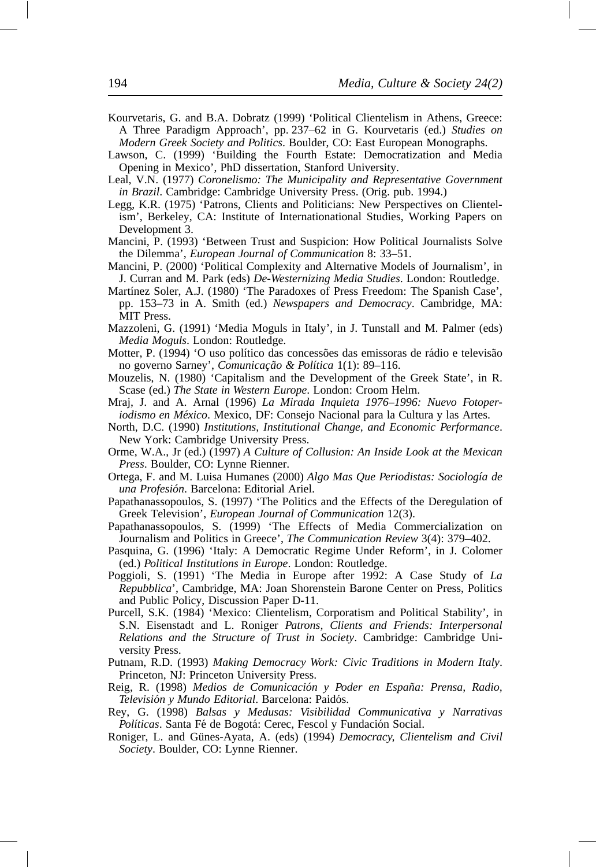- Kourvetaris, G. and B.A. Dobratz (1999) 'Political Clientelism in Athens, Greece: A Three Paradigm Approach', pp. 237–62 in G. Kourvetaris (ed.) *Studies on Modern Greek Society and Politics*. Boulder, CO: East European Monographs.
- Lawson, C. (1999) 'Building the Fourth Estate: Democratization and Media Opening in Mexico', PhD dissertation, Stanford University.
- Leal, V.N. (1977) *Coronelismo: The Municipality and Representative Government in Brazil*. Cambridge: Cambridge University Press. (Orig. pub. 1994.)
- Legg, K.R. (1975) 'Patrons, Clients and Politicians: New Perspectives on Clientelism', Berkeley, CA: Institute of Internationational Studies, Working Papers on Development 3.
- Mancini, P. (1993) 'Between Trust and Suspicion: How Political Journalists Solve the Dilemma', *European Journal of Communication* 8: 33–51.
- Mancini, P. (2000) 'Political Complexity and Alternative Models of Journalism', in J. Curran and M. Park (eds) *De-Westernizing Media Studies*. London: Routledge.
- Martínez Soler, A.J. (1980) 'The Paradoxes of Press Freedom: The Spanish Case', pp. 153–73 in A. Smith (ed.) *Newspapers and Democracy*. Cambridge, MA: MIT Press.
- Mazzoleni, G. (1991) 'Media Moguls in Italy', in J. Tunstall and M. Palmer (eds) *Media Moguls*. London: Routledge.
- Motter, P. (1994) 'O uso político das concessões das emissoras de rádio e televisão no governo Sarney', *Comunicação & Política* 1(1): 89-116.
- Mouzelis, N. (1980) 'Capitalism and the Development of the Greek State', in R. Scase (ed.) *The State in Western Europe*. London: Croom Helm.
- Mraj, J. and A. Arnal (1996) *La Mirada Inquieta 1976–1996: Nuevo Fotoper*iodismo en México. Mexico, DF: Consejo Nacional para la Cultura y las Artes.
- North, D.C. (1990) *Institutions, Institutional Change, and Economic Performance*. New York: Cambridge University Press.
- Orme, W.A., Jr (ed.) (1997) *A Culture of Collusion: An Inside Look at the Mexican Press*. Boulder, CO: Lynne Rienner.
- Ortega, F. and M. Luisa Humanes (2000) *Algo Mas Que Periodistas: Sociolog´ıa de una Profesi´on*. Barcelona: Editorial Ariel.
- Papathanassopoulos, S. (1997) 'The Politics and the Effects of the Deregulation of Greek Television', *European Journal of Communication* 12(3).
- Papathanassopoulos, S. (1999) 'The Effects of Media Commercialization on Journalism and Politics in Greece', *The Communication Review* 3(4): 379–402.
- Pasquina, G. (1996) 'Italy: A Democratic Regime Under Reform', in J. Colomer (ed.) *Political Institutions in Europe*. London: Routledge.
- Poggioli, S. (1991) 'The Media in Europe after 1992: A Case Study of *La Repubblica*', Cambridge, MA: Joan Shorenstein Barone Center on Press, Politics and Public Policy, Discussion Paper D-11.
- Purcell, S.K. (1984) 'Mexico: Clientelism, Corporatism and Political Stability', in S.N. Eisenstadt and L. Roniger *Patrons, Clients and Friends: Interpersonal Relations and the Structure of Trust in Society*. Cambridge: Cambridge University Press.
- Putnam, R.D. (1993) *Making Democracy Work: Civic Traditions in Modern Italy*. Princeton, NJ: Princeton University Press.
- Reig, R. (1998) *Medios de Comunicación y Poder en España: Prensa, Radio,*  $Television y Mundo Editorial$ . Barcelona: Paidós.
- Rey, G. (1998) *Balsas y Medusas: Visibilidad Communicativa y Narrativas Políticas*. Santa Fé de Bogotá: Cerec, Fescol y Fundación Social.
- Roniger, L. and Günes-Ayata, A. (eds) (1994) *Democracy, Clientelism and Civil Society*. Boulder, CO: Lynne Rienner.